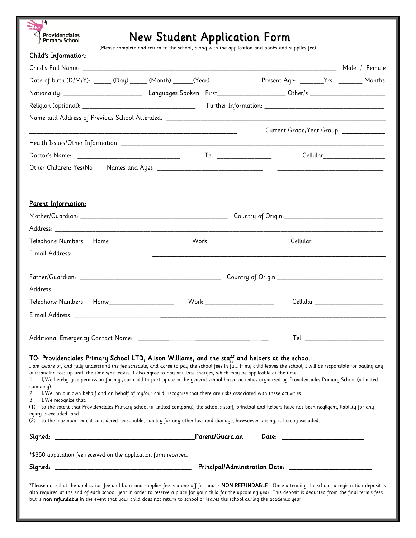

# New Student Application Form

(Please complete and return to the school, along with the application and books and supplies fee)

| <b>Child's Information:</b>                                                                                                                                                                                                                                                                                                                                                                                                                                                                                                                                                                                                                                                                                                                                                                                                                                                                                                                                                                                                                                                     |                               |                                                                                                                       |
|---------------------------------------------------------------------------------------------------------------------------------------------------------------------------------------------------------------------------------------------------------------------------------------------------------------------------------------------------------------------------------------------------------------------------------------------------------------------------------------------------------------------------------------------------------------------------------------------------------------------------------------------------------------------------------------------------------------------------------------------------------------------------------------------------------------------------------------------------------------------------------------------------------------------------------------------------------------------------------------------------------------------------------------------------------------------------------|-------------------------------|-----------------------------------------------------------------------------------------------------------------------|
|                                                                                                                                                                                                                                                                                                                                                                                                                                                                                                                                                                                                                                                                                                                                                                                                                                                                                                                                                                                                                                                                                 |                               |                                                                                                                       |
| Date of birth (D/M/Y): ______ (Day) ______ (Month) ______(Year)                                                                                                                                                                                                                                                                                                                                                                                                                                                                                                                                                                                                                                                                                                                                                                                                                                                                                                                                                                                                                 |                               | Present Age: ________Yrs ________ Months                                                                              |
|                                                                                                                                                                                                                                                                                                                                                                                                                                                                                                                                                                                                                                                                                                                                                                                                                                                                                                                                                                                                                                                                                 |                               |                                                                                                                       |
|                                                                                                                                                                                                                                                                                                                                                                                                                                                                                                                                                                                                                                                                                                                                                                                                                                                                                                                                                                                                                                                                                 |                               |                                                                                                                       |
|                                                                                                                                                                                                                                                                                                                                                                                                                                                                                                                                                                                                                                                                                                                                                                                                                                                                                                                                                                                                                                                                                 |                               |                                                                                                                       |
|                                                                                                                                                                                                                                                                                                                                                                                                                                                                                                                                                                                                                                                                                                                                                                                                                                                                                                                                                                                                                                                                                 |                               | Current Grade/Year Group: ___________                                                                                 |
|                                                                                                                                                                                                                                                                                                                                                                                                                                                                                                                                                                                                                                                                                                                                                                                                                                                                                                                                                                                                                                                                                 |                               |                                                                                                                       |
|                                                                                                                                                                                                                                                                                                                                                                                                                                                                                                                                                                                                                                                                                                                                                                                                                                                                                                                                                                                                                                                                                 |                               | Cellular______________________                                                                                        |
|                                                                                                                                                                                                                                                                                                                                                                                                                                                                                                                                                                                                                                                                                                                                                                                                                                                                                                                                                                                                                                                                                 |                               |                                                                                                                       |
| Parent Information:                                                                                                                                                                                                                                                                                                                                                                                                                                                                                                                                                                                                                                                                                                                                                                                                                                                                                                                                                                                                                                                             |                               |                                                                                                                       |
|                                                                                                                                                                                                                                                                                                                                                                                                                                                                                                                                                                                                                                                                                                                                                                                                                                                                                                                                                                                                                                                                                 |                               |                                                                                                                       |
|                                                                                                                                                                                                                                                                                                                                                                                                                                                                                                                                                                                                                                                                                                                                                                                                                                                                                                                                                                                                                                                                                 |                               | <u> 1989 - Johann John Stone, markin amerikan bisa di sebagai pertama dan bagian dan bagian dan bisa di sebagai p</u> |
| Telephone Numbers: Home____________________                                                                                                                                                                                                                                                                                                                                                                                                                                                                                                                                                                                                                                                                                                                                                                                                                                                                                                                                                                                                                                     | Work ________________________ | Cellular ______________________                                                                                       |
|                                                                                                                                                                                                                                                                                                                                                                                                                                                                                                                                                                                                                                                                                                                                                                                                                                                                                                                                                                                                                                                                                 |                               |                                                                                                                       |
|                                                                                                                                                                                                                                                                                                                                                                                                                                                                                                                                                                                                                                                                                                                                                                                                                                                                                                                                                                                                                                                                                 |                               |                                                                                                                       |
|                                                                                                                                                                                                                                                                                                                                                                                                                                                                                                                                                                                                                                                                                                                                                                                                                                                                                                                                                                                                                                                                                 |                               |                                                                                                                       |
|                                                                                                                                                                                                                                                                                                                                                                                                                                                                                                                                                                                                                                                                                                                                                                                                                                                                                                                                                                                                                                                                                 |                               | Cellular ______________________                                                                                       |
|                                                                                                                                                                                                                                                                                                                                                                                                                                                                                                                                                                                                                                                                                                                                                                                                                                                                                                                                                                                                                                                                                 |                               |                                                                                                                       |
|                                                                                                                                                                                                                                                                                                                                                                                                                                                                                                                                                                                                                                                                                                                                                                                                                                                                                                                                                                                                                                                                                 |                               | Tel _____________________________                                                                                     |
| TO: Providenciales Primary School LTD, Alison Williams, and the staff and helpers at the school:<br>I am aware of, and fully understand the fee schedule, and agree to pay the school fees in full. If my child leaves the school, I will be responsible for paying any<br>outstanding fees up until the time s/he leaves. I also agree to pay any late charges, which may be applicable at the time.<br>I/We hereby give permission for my /our child to participate in the general school based activities organized by Providenciales Primary School (a limited<br>1.<br>company).<br>2. I/We, on our own behalf and on behalf of my/our child, recognize that there are risks associated with these activities.<br>3. I/We recognize that:<br>(1) to the extent that Providenciales Primary school (a limited company), the school's staff, principal and helpers have not been negligent, liability for any<br>injury is excluded; and<br>(2) to the maximum extent considered reasonable, liability for any other loss and damage, howsoever arising, is hereby excluded. |                               |                                                                                                                       |
|                                                                                                                                                                                                                                                                                                                                                                                                                                                                                                                                                                                                                                                                                                                                                                                                                                                                                                                                                                                                                                                                                 |                               |                                                                                                                       |
|                                                                                                                                                                                                                                                                                                                                                                                                                                                                                                                                                                                                                                                                                                                                                                                                                                                                                                                                                                                                                                                                                 |                               |                                                                                                                       |
| *\$350 application fee received on the application form received.                                                                                                                                                                                                                                                                                                                                                                                                                                                                                                                                                                                                                                                                                                                                                                                                                                                                                                                                                                                                               |                               |                                                                                                                       |
|                                                                                                                                                                                                                                                                                                                                                                                                                                                                                                                                                                                                                                                                                                                                                                                                                                                                                                                                                                                                                                                                                 |                               |                                                                                                                       |